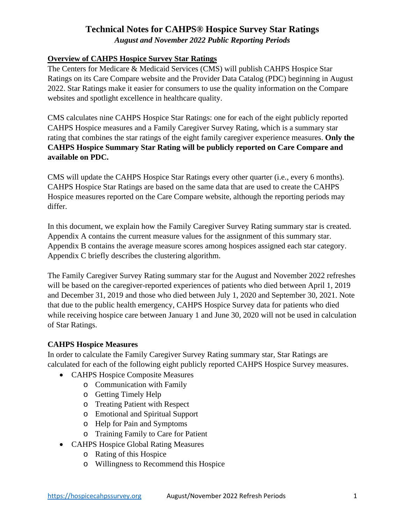*August and November 2022 Public Reporting Periods* 

## **Overview of CAHPS Hospice Survey Star Ratings**

The Centers for Medicare & Medicaid Services (CMS) will publish CAHPS Hospice Star Ratings on its Care Compare website and the Provider Data Catalog (PDC) beginning in August 2022. Star Ratings make it easier for consumers to use the quality information on the Compare websites and spotlight excellence in healthcare quality.

CMS calculates nine CAHPS Hospice Star Ratings: one for each of the eight publicly reported CAHPS Hospice measures and a Family Caregiver Survey Rating, which is a summary star rating that combines the star ratings of the eight family caregiver experience measures. **Only the CAHPS Hospice Summary Star Rating will be publicly reported on Care Compare and available on PDC.**

CMS will update the CAHPS Hospice Star Ratings every other quarter (i.e., every 6 months). CAHPS Hospice Star Ratings are based on the same data that are used to create the CAHPS Hospice measures reported on the Care Compare website, although the reporting periods may differ.

In this document, we explain how the Family Caregiver Survey Rating summary star is created. Appendix A contains the current measure values for the assignment of this summary star. Appendix B contains the average measure scores among hospices assigned each star category. Appendix C briefly describes the clustering algorithm.

The Family Caregiver Survey Rating summary star for the August and November 2022 refreshes will be based on the caregiver-reported experiences of patients who died between April 1, 2019 and December 31, 2019 and those who died between July 1, 2020 and September 30, 2021. Note that due to the public health emergency, CAHPS Hospice Survey data for patients who died while receiving hospice care between January 1 and June 30, 2020 will not be used in calculation of Star Ratings.

#### **CAHPS Hospice Measures**

In order to calculate the Family Caregiver Survey Rating summary star, Star Ratings are calculated for each of the following eight publicly reported CAHPS Hospice Survey measures.

- CAHPS Hospice Composite Measures
	- o Communication with Family
	- o Getting Timely Help
	- o Treating Patient with Respect
	- o Emotional and Spiritual Support
	- o Help for Pain and Symptoms
	- o Training Family to Care for Patient
- CAHPS Hospice Global Rating Measures
	- o Rating of this Hospice
	- o Willingness to Recommend this Hospice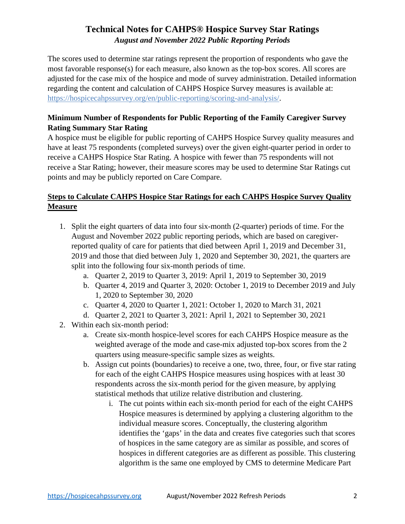The scores used to determine star ratings represent the proportion of respondents who gave the most favorable response(s) for each measure, also known as the top-box scores. All scores are adjusted for the case mix of the hospice and mode of survey administration. Detailed information regarding the content and calculation of CAHPS Hospice Survey measures is available at: [https://hospicecahpssurvey.org/en/public-reporting/scoring-and-analysis/.](https://hospicecahpssurvey.org/en/public-reporting/scoring-and-analysis/)

#### **Minimum Number of Respondents for Public Reporting of the Family Caregiver Survey Rating Summary Star Rating**

A hospice must be eligible for public reporting of CAHPS Hospice Survey quality measures and have at least 75 respondents (completed surveys) over the given eight-quarter period in order to receive a CAHPS Hospice Star Rating. A hospice with fewer than 75 respondents will not receive a Star Rating; however, their measure scores may be used to determine Star Ratings cut points and may be publicly reported on Care Compare.

## **Steps to Calculate CAHPS Hospice Star Ratings for each CAHPS Hospice Survey Quality Measure**

- 1. Split the eight quarters of data into four six-month (2-quarter) periods of time. For the August and November 2022 public reporting periods, which are based on caregiverreported quality of care for patients that died between April 1, 2019 and December 31, 2019 and those that died between July 1, 2020 and September 30, 2021, the quarters are split into the following four six-month periods of time.
	- a. Quarter 2, 2019 to Quarter 3, 2019: April 1, 2019 to September 30, 2019
	- b. Quarter 4, 2019 and Quarter 3, 2020: October 1, 2019 to December 2019 and July 1, 2020 to September 30, 2020
	- c. Quarter 4, 2020 to Quarter 1, 2021: October 1, 2020 to March 31, 2021
	- d. Quarter 2, 2021 to Quarter 3, 2021: April 1, 2021 to September 30, 2021
- 2. Within each six-month period:
	- a. Create six-month hospice-level scores for each CAHPS Hospice measure as the weighted average of the mode and case-mix adjusted top-box scores from the 2 quarters using measure-specific sample sizes as weights.
	- b. Assign cut points (boundaries) to receive a one, two, three, four, or five star rating for each of the eight CAHPS Hospice measures using hospices with at least 30 respondents across the six-month period for the given measure, by applying statistical methods that utilize relative distribution and clustering.
		- i. The cut points within each six-month period for each of the eight CAHPS Hospice measures is determined by applying a clustering algorithm to the individual measure scores. Conceptually, the clustering algorithm identifies the 'gaps' in the data and creates five categories such that scores of hospices in the same category are as similar as possible, and scores of hospices in different categories are as different as possible. This clustering algorithm is the same one employed by CMS to determine Medicare Part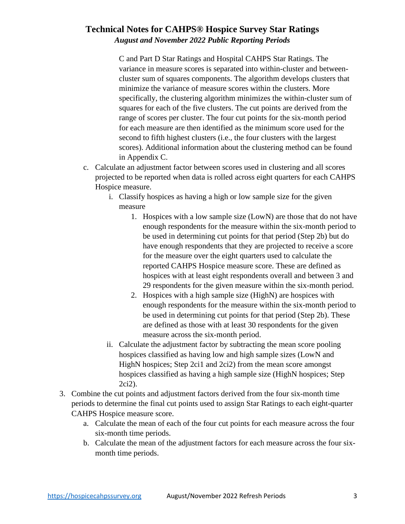C and Part D Star Ratings and Hospital CAHPS Star Ratings. The variance in measure scores is separated into within-cluster and betweencluster sum of squares components. The algorithm develops clusters that minimize the variance of measure scores within the clusters. More specifically, the clustering algorithm minimizes the within-cluster sum of squares for each of the five clusters. The cut points are derived from the range of scores per cluster. The four cut points for the six-month period for each measure are then identified as the minimum score used for the second to fifth highest clusters (i.e., the four clusters with the largest scores). Additional information about the clustering method can be found in Appendix C.

- c. Calculate an adjustment factor between scores used in clustering and all scores projected to be reported when data is rolled across eight quarters for each CAHPS Hospice measure.
	- i. Classify hospices as having a high or low sample size for the given measure
		- 1. Hospices with a low sample size (LowN) are those that do not have enough respondents for the measure within the six-month period to be used in determining cut points for that period (Step 2b) but do have enough respondents that they are projected to receive a score for the measure over the eight quarters used to calculate the reported CAHPS Hospice measure score. These are defined as hospices with at least eight respondents overall and between 3 and 29 respondents for the given measure within the six-month period.
		- 2. Hospices with a high sample size (HighN) are hospices with enough respondents for the measure within the six-month period to be used in determining cut points for that period (Step 2b). These are defined as those with at least 30 respondents for the given measure across the six-month period.
	- ii. Calculate the adjustment factor by subtracting the mean score pooling hospices classified as having low and high sample sizes (LowN and HighN hospices; Step 2ci1 and 2ci2) from the mean score amongst hospices classified as having a high sample size (HighN hospices; Step 2ci2).
- 3. Combine the cut points and adjustment factors derived from the four six-month time periods to determine the final cut points used to assign Star Ratings to each eight-quarter CAHPS Hospice measure score.
	- a. Calculate the mean of each of the four cut points for each measure across the four six-month time periods.
	- b. Calculate the mean of the adjustment factors for each measure across the four sixmonth time periods.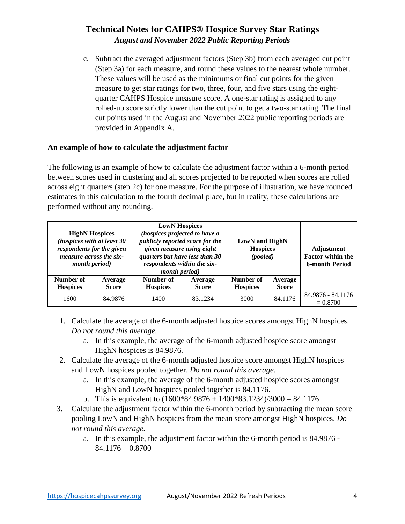c. Subtract the averaged adjustment factors (Step 3b) from each averaged cut point (Step 3a) for each measure, and round these values to the nearest whole number. These values will be used as the minimums or final cut points for the given measure to get star ratings for two, three, four, and five stars using the eightquarter CAHPS Hospice measure score. A one-star rating is assigned to any rolled-up score strictly lower than the cut point to get a two-star rating. The final cut points used in the August and November 2022 public reporting periods are provided in Appendix A.

#### **An example of how to calculate the adjustment factor**

The following is an example of how to calculate the adjustment factor within a 6-month period between scores used in clustering and all scores projected to be reported when scores are rolled across eight quarters (step 2c) for one measure. For the purpose of illustration, we have rounded estimates in this calculation to the fourth decimal place, but in reality, these calculations are performed without any rounding.

| <b>HighN Hospices</b><br>(hospices with at least 30<br>respondents for the given<br><i>measure across the six-</i><br><i>month period</i> ) |                         | <b>LowN</b> Hospices<br>(hospices projected to have a<br>publicly reported score for the<br>given measure using eight<br>quarters but have less than 30<br>respondents within the six-<br><i>month period</i> ) |                         | <b>LowN</b> and HighN<br><b>Hospices</b><br>(pooled) |                         | Adjustment<br><b>Factor within the</b><br><b>6-month Period</b> |
|---------------------------------------------------------------------------------------------------------------------------------------------|-------------------------|-----------------------------------------------------------------------------------------------------------------------------------------------------------------------------------------------------------------|-------------------------|------------------------------------------------------|-------------------------|-----------------------------------------------------------------|
| Number of<br><b>Hospices</b>                                                                                                                | Average<br><b>Score</b> | Number of<br><b>Hospices</b>                                                                                                                                                                                    | Average<br><b>Score</b> | Number of<br><b>Hospices</b>                         | Average<br><b>Score</b> |                                                                 |
| 1600                                                                                                                                        | 84.9876                 | 1400                                                                                                                                                                                                            | 83.1234                 | 3000                                                 | 84.1176                 | 84.9876 - 84.1176<br>$= 0.8700$                                 |

- 1. Calculate the average of the 6-month adjusted hospice scores amongst HighN hospices. *Do not round this average.*
	- a. In this example, the average of the 6-month adjusted hospice score amongst HighN hospices is 84.9876.
- 2. Calculate the average of the 6-month adjusted hospice score amongst HighN hospices and LowN hospices pooled together. *Do not round this average.*
	- a. In this example, the average of the 6-month adjusted hospice scores amongst HighN and LowN hospices pooled together is 84.1176.
	- b. This is equivalent to  $(1600*84.9876 + 1400*83.1234)/3000 = 84.1176$
- 3. Calculate the adjustment factor within the 6-month period by subtracting the mean score pooling LowN and HighN hospices from the mean score amongst HighN hospices. *Do not round this average.*
	- a. In this example, the adjustment factor within the 6-month period is 84.9876  $84.1176 = 0.8700$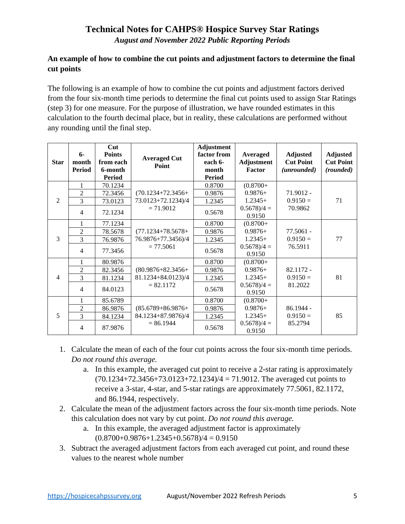*August and November 2022 Public Reporting Periods* 

#### **An example of how to combine the cut points and adjustment factors to determine the final cut points**

The following is an example of how to combine the cut points and adjustment factors derived from the four six-month time periods to determine the final cut points used to assign Star Ratings (step 3) for one measure. For the purpose of illustration, we have rounded estimates in this calculation to the fourth decimal place, but in reality, these calculations are performed without any rounding until the final step.

| <b>Star</b>    | $6-$<br>month<br><b>Period</b> | Cut<br><b>Points</b><br>from each<br>6-month<br>Period | <b>Averaged Cut</b><br>Point | Adjustment<br>factor from<br>each 6-<br>month<br><b>Period</b> | Averaged<br><b>Adjustment</b><br>Factor | <b>Adjusted</b><br><b>Cut Point</b><br>(unrounded) | <b>Adjusted</b><br><b>Cut Point</b><br>(rounded) |
|----------------|--------------------------------|--------------------------------------------------------|------------------------------|----------------------------------------------------------------|-----------------------------------------|----------------------------------------------------|--------------------------------------------------|
|                | $\mathbf{1}$                   | 70.1234                                                |                              | 0.8700                                                         | $(0.8700 +$                             |                                                    |                                                  |
|                | $\overline{c}$                 | 72.3456                                                | $(70.1234 + 72.3456 +$       | 0.9876                                                         | $0.9876+$                               | $71.9012 -$                                        |                                                  |
| 2              | 3                              | 73.0123                                                | 73.0123+72.1234)/4           | 1.2345                                                         | $1.2345+$                               | $0.9150 =$                                         | 71                                               |
|                | $\overline{4}$                 | 72.1234                                                | $= 71.9012$                  | 0.5678                                                         | $0.5678/4 =$<br>0.9150                  | 70.9862                                            |                                                  |
|                | 1                              | 77.1234                                                |                              | 0.8700                                                         | $(0.8700 +$                             |                                                    |                                                  |
|                | $\overline{2}$                 | 78.5678                                                | $(77.1234 + 78.5678 +$       | 0.9876                                                         | $0.9876+$                               | 77.5061 -                                          |                                                  |
| 3              | 3                              | 76.9876                                                | 76.9876+77.3456)/4           | 1.2345                                                         | $1.2345+$                               | $0.9150 =$                                         | 77                                               |
|                | $\overline{4}$                 | 77.3456                                                | $= 77.5061$                  | 0.5678                                                         | $0.5678/4 =$<br>0.9150                  | 76.5911                                            |                                                  |
|                | $\mathbf{1}$                   | 80.9876                                                |                              | 0.8700                                                         | $(0.8700 +$                             |                                                    |                                                  |
|                | $\overline{2}$                 | 82.3456                                                | $(80.9876 + 82.3456 +$       | 0.9876                                                         | $0.9876+$                               | $82.1172 -$                                        |                                                  |
| $\overline{4}$ | 3                              | 81.1234                                                | 81.1234+84.0123)/4           | 1.2345                                                         | $1.2345+$                               | $0.9150 =$                                         | 81                                               |
|                | $\overline{4}$                 | 84.0123                                                | $= 82.1172$                  | 0.5678                                                         | $0.5678/4 =$<br>0.9150                  | 81.2022                                            |                                                  |
|                | 1                              | 85.6789                                                |                              | 0.8700                                                         | $(0.8700 +$                             |                                                    |                                                  |
|                | $\overline{2}$                 | 86.9876                                                | $(85.6789 + 86.9876 +$       | 0.9876                                                         | $0.9876+$                               | $86.1944 -$                                        |                                                  |
| $\overline{5}$ | 3                              | 84.1234                                                | 84.1234+87.9876)/4           | 1.2345                                                         | $1.2345+$                               | $0.9150 =$                                         | 85                                               |
|                | $\overline{4}$                 | 87.9876                                                | $= 86.1944$                  | 0.5678                                                         | $0.5678/4 =$<br>0.9150                  | 85.2794                                            |                                                  |

- 1. Calculate the mean of each of the four cut points across the four six-month time periods. *Do not round this average.*
	- a. In this example, the averaged cut point to receive a 2-star rating is approximately  $(70.1234 + 72.3456 + 73.0123 + 72.1234)/4 = 71.9012$ . The averaged cut points to receive a 3-star, 4-star, and 5-star ratings are approximately 77.5061, 82.1172, and 86.1944, respectively.
- 2. Calculate the mean of the adjustment factors across the four six-month time periods. Note this calculation does not vary by cut point. *Do not round this average.*
	- a. In this example, the averaged adjustment factor is approximately  $(0.8700+0.9876+1.2345+0.5678)/4=0.9150$
- 3. Subtract the averaged adjustment factors from each averaged cut point, and round these values to the nearest whole number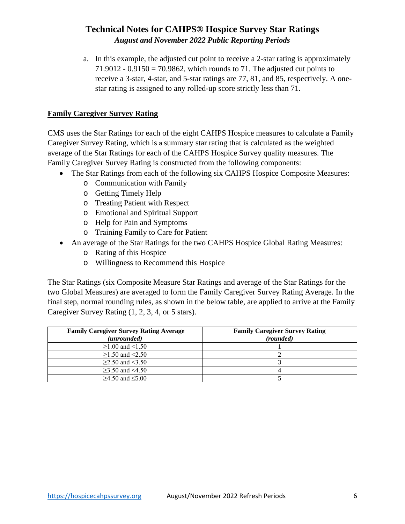a. In this example, the adjusted cut point to receive a 2-star rating is approximately 71.9012 - 0.9150 = 70.9862, which rounds to 71. The adjusted cut points to receive a 3-star, 4-star, and 5-star ratings are 77, 81, and 85, respectively. A onestar rating is assigned to any rolled-up score strictly less than 71.

#### **Family Caregiver Survey Rating**

CMS uses the Star Ratings for each of the eight CAHPS Hospice measures to calculate a Family Caregiver Survey Rating, which is a summary star rating that is calculated as the weighted average of the Star Ratings for each of the CAHPS Hospice Survey quality measures. The Family Caregiver Survey Rating is constructed from the following components:

- The Star Ratings from each of the following six CAHPS Hospice Composite Measures:
	- o Communication with Family
	- o Getting Timely Help
	- o Treating Patient with Respect
	- o Emotional and Spiritual Support
	- o Help for Pain and Symptoms
	- o Training Family to Care for Patient
- An average of the Star Ratings for the two CAHPS Hospice Global Rating Measures:
	- o Rating of this Hospice
	- o Willingness to Recommend this Hospice

The Star Ratings (six Composite Measure Star Ratings and average of the Star Ratings for the two Global Measures) are averaged to form the Family Caregiver Survey Rating Average. In the final step, normal rounding rules, as shown in the below table, are applied to arrive at the Family Caregiver Survey Rating (1, 2, 3, 4, or 5 stars).

| <b>Family Caregiver Survey Rating Average</b> | <b>Family Caregiver Survey Rating</b> |
|-----------------------------------------------|---------------------------------------|
| (unrounded)                                   | (rounded)                             |
| $≥1.00$ and <1.50                             |                                       |
| $\geq$ 1.50 and <2.50                         |                                       |
| $\geq$ 2.50 and <3.50                         |                                       |
| $>3.50$ and $<4.50$                           |                                       |
| $≥4.50$ and ≤5.00                             |                                       |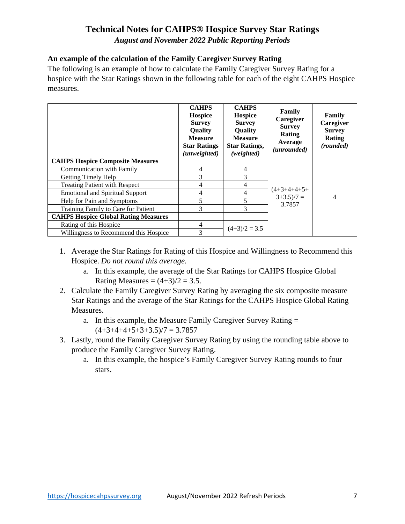*August and November 2022 Public Reporting Periods* 

#### **An example of the calculation of the Family Caregiver Survey Rating**

The following is an example of how to calculate the Family Caregiver Survey Rating for a hospice with the Star Ratings shown in the following table for each of the eight CAHPS Hospice measures.

|                                             | <b>CAHPS</b><br><b>Hospice</b><br><b>Survey</b><br>Quality<br><b>Measure</b><br><b>Star Ratings</b><br>(unweighted) | <b>CAHPS</b><br><b>Hospice</b><br><b>Survey</b><br>Quality<br><b>Measure</b><br><b>Star Ratings,</b><br>(weighted) | Family<br>Caregiver<br><b>Survey</b><br>Rating<br>Average<br>(unrounded) | Family<br>Caregiver<br><b>Survey</b><br>Rating<br>(rounded) |
|---------------------------------------------|---------------------------------------------------------------------------------------------------------------------|--------------------------------------------------------------------------------------------------------------------|--------------------------------------------------------------------------|-------------------------------------------------------------|
| <b>CAHPS Hospice Composite Measures</b>     |                                                                                                                     |                                                                                                                    |                                                                          | 4                                                           |
| <b>Communication with Family</b>            | 4                                                                                                                   | 4                                                                                                                  |                                                                          |                                                             |
| Getting Timely Help                         | 3                                                                                                                   | 3                                                                                                                  |                                                                          |                                                             |
| <b>Treating Patient with Respect</b>        | 4                                                                                                                   | 4                                                                                                                  |                                                                          |                                                             |
| <b>Emotional and Spiritual Support</b>      | 4                                                                                                                   | 4                                                                                                                  | $(4+3+4+4+5+$<br>$3+3.5)/7 =$                                            |                                                             |
| Help for Pain and Symptoms                  | 5                                                                                                                   | 5                                                                                                                  | 3.7857                                                                   |                                                             |
| Training Family to Care for Patient         | 3                                                                                                                   | 3                                                                                                                  |                                                                          |                                                             |
| <b>CAHPS Hospice Global Rating Measures</b> |                                                                                                                     |                                                                                                                    |                                                                          |                                                             |
| Rating of this Hospice                      | 4                                                                                                                   | $(4+3)/2 = 3.5$                                                                                                    |                                                                          |                                                             |
| Willingness to Recommend this Hospice       | 3                                                                                                                   |                                                                                                                    |                                                                          |                                                             |

- 1. Average the Star Ratings for Rating of this Hospice and Willingness to Recommend this Hospice. *Do not round this average.*
	- a. In this example, the average of the Star Ratings for CAHPS Hospice Global Rating Measures  $=(4+3)/2 = 3.5$ .
- 2. Calculate the Family Caregiver Survey Rating by averaging the six composite measure Star Ratings and the average of the Star Ratings for the CAHPS Hospice Global Rating Measures.
	- a. In this example, the Measure Family Caregiver Survey Rating =  $(4+3+4+4+5+3+3.5)/7 = 3.7857$
- 3. Lastly, round the Family Caregiver Survey Rating by using the rounding table above to produce the Family Caregiver Survey Rating.
	- a. In this example, the hospice's Family Caregiver Survey Rating rounds to four stars.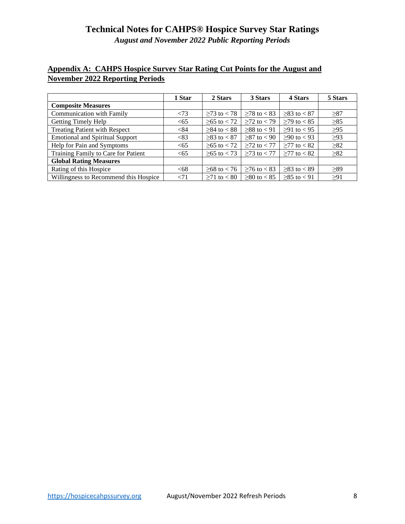*August and November 2022 Public Reporting Periods* 

## **Appendix A: CAHPS Hospice Survey Star Rating Cut Points for the August and November 2022 Reporting Periods**

|                                        | 1 Star | 2 Stars         | 3 Stars           | 4 Stars         | 5 Stars   |
|----------------------------------------|--------|-----------------|-------------------|-----------------|-----------|
| <b>Composite Measures</b>              |        |                 |                   |                 |           |
| <b>Communication with Family</b>       | < 73   | $>73$ to $< 78$ | $≥78$ to < 83     | $>83$ to $< 87$ | $\geq 87$ |
| <b>Getting Timely Help</b>             | <65    | $≥ 65$ to < 72  | $\geq$ 72 to < 79 | $≥79$ to < 85   | $\geq 85$ |
| <b>Treating Patient with Respect</b>   | < 84   | $≥84$ to < 88   | $>88$ to $< 91$   | $≥91$ to < 95   | $\geq 95$ |
| <b>Emotional and Spiritual Support</b> | <83    | $>83$ to $< 87$ | $>87$ to $< 90$   | $≥90$ to < 93   | >93       |
| Help for Pain and Symptoms             | <65    | $≥ 65$ to < 72  | $\geq$ 72 to < 77 | $≥77$ to < 82   | $\geq 82$ |
| Training Family to Care for Patient    | <65    | $≥ 65$ to < 73  | $>73$ to $< 77$   | $>77$ to $< 82$ | $\geq 82$ |
| <b>Global Rating Measures</b>          |        |                 |                   |                 |           |
| Rating of this Hospice                 | <68    | $≥ 68$ to < 76  | $>76$ to $< 83$   | $>83$ to $< 89$ | >89       |
| Willingness to Recommend this Hospice  | < 71   | $≥71$ to < 80   | $≥80$ to < 85     | $>85$ to $< 91$ | $\geq$ 91 |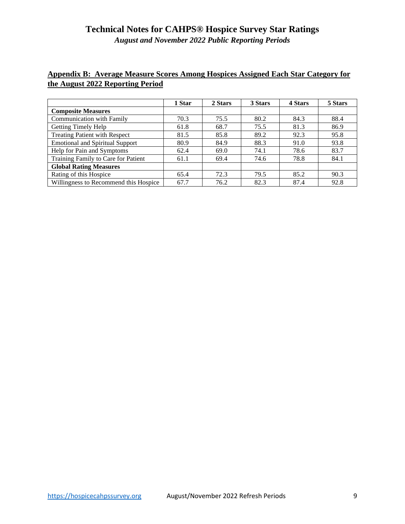*August and November 2022 Public Reporting Periods* 

#### **Appendix B: Average Measure Scores Among Hospices Assigned Each Star Category for the August 2022 Reporting Period**

|                                        | 1 Star | 2 Stars | 3 Stars | 4 Stars | 5 Stars |
|----------------------------------------|--------|---------|---------|---------|---------|
| <b>Composite Measures</b>              |        |         |         |         |         |
| Communication with Family              | 70.3   | 75.5    | 80.2    | 84.3    | 88.4    |
| Getting Timely Help                    | 61.8   | 68.7    | 75.5    | 81.3    | 86.9    |
| Treating Patient with Respect          | 81.5   | 85.8    | 89.2    | 92.3    | 95.8    |
| <b>Emotional and Spiritual Support</b> | 80.9   | 84.9    | 88.3    | 91.0    | 93.8    |
| Help for Pain and Symptoms             | 62.4   | 69.0    | 74.1    | 78.6    | 83.7    |
| Training Family to Care for Patient    | 61.1   | 69.4    | 74.6    | 78.8    | 84.1    |
| <b>Global Rating Measures</b>          |        |         |         |         |         |
| Rating of this Hospice                 | 65.4   | 72.3    | 79.5    | 85.2    | 90.3    |
| Willingness to Recommend this Hospice  | 67.7   | 76.2    | 82.3    | 87.4    | 92.8    |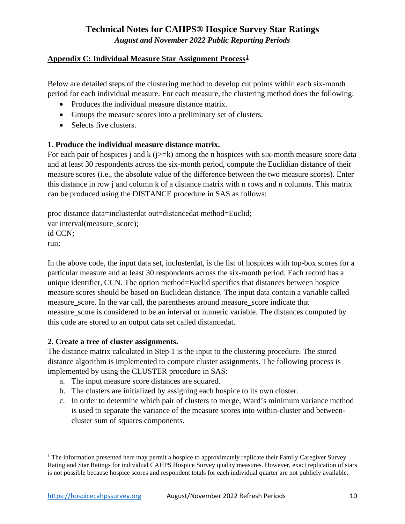#### **Appendix C: Individual Measure Star Assignment Process1**

Below are detailed steps of the clustering method to develop cut points within each six-month period for each individual measure. For each measure, the clustering method does the following:

- Produces the individual measure distance matrix.
- Groups the measure scores into a preliminary set of clusters.
- Selects five clusters.

#### **1. Produce the individual measure distance matrix.**

For each pair of hospices j and k ( $j>=k$ ) among the n hospices with six-month measure score data and at least 30 respondents across the six-month period, compute the Euclidian distance of their measure scores (i.e., the absolute value of the difference between the two measure scores). Enter this distance in row j and column k of a distance matrix with n rows and n columns. This matrix can be produced using the DISTANCE procedure in SAS as follows:

proc distance data=inclusterdat out=distancedat method=Euclid; var interval(measure\_score); id CCN; run;

In the above code, the input data set, inclusterdat, is the list of hospices with top-box scores for a particular measure and at least 30 respondents across the six-month period. Each record has a unique identifier, CCN. The option method=Euclid specifies that distances between hospice measure scores should be based on Euclidean distance. The input data contain a variable called measure\_score. In the var call, the parentheses around measure\_score indicate that measure score is considered to be an interval or numeric variable. The distances computed by this code are stored to an output data set called distancedat.

#### **2. Create a tree of cluster assignments.**

The distance matrix calculated in Step 1 is the input to the clustering procedure. The stored distance algorithm is implemented to compute cluster assignments. The following process is implemented by using the CLUSTER procedure in SAS:

- a. The input measure score distances are squared.
- b. The clusters are initialized by assigning each hospice to its own cluster.
- c. In order to determine which pair of clusters to merge, Ward's minimum variance method is used to separate the variance of the measure scores into within-cluster and betweencluster sum of squares components.

<sup>&</sup>lt;sup>1</sup> The information presented here may permit a hospice to approximately replicate their Family Caregiver Survey Rating and Star Ratings for individual CAHPS Hospice Survey quality measures. However, exact replication of stars is not possible because hospice scores and respondent totals for each individual quarter are not publicly available.